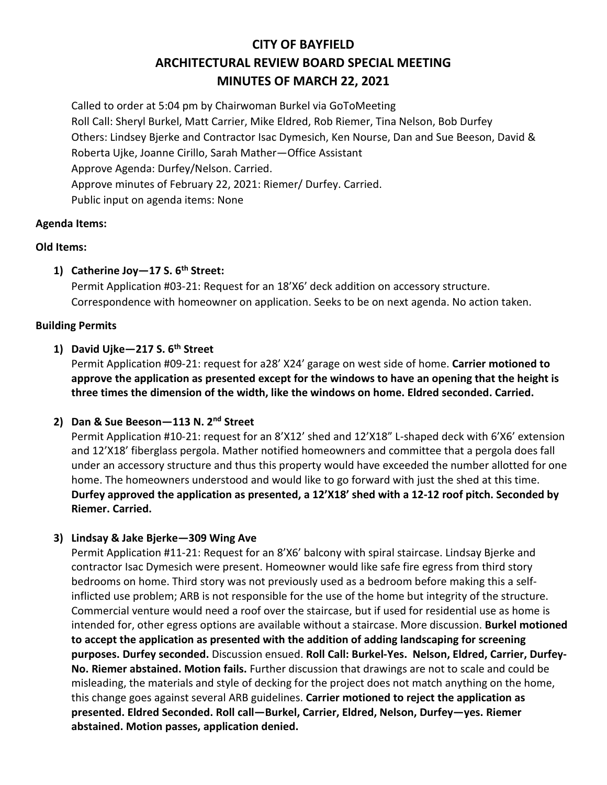# **CITY OF BAYFIELD ARCHITECTURAL REVIEW BOARD SPECIAL MEETING MINUTES OF MARCH 22, 2021**

Called to order at 5:04 pm by Chairwoman Burkel via GoToMeeting Roll Call: Sheryl Burkel, Matt Carrier, Mike Eldred, Rob Riemer, Tina Nelson, Bob Durfey Others: Lindsey Bjerke and Contractor Isac Dymesich, Ken Nourse, Dan and Sue Beeson, David & Roberta Ujke, Joanne Cirillo, Sarah Mather—Office Assistant Approve Agenda: Durfey/Nelson. Carried. Approve minutes of February 22, 2021: Riemer/ Durfey. Carried. Public input on agenda items: None

#### **Agenda Items:**

## **Old Items:**

## **1) Catherine Joy—17 S. 6th Street:**

Permit Application #03-21: Request for an 18'X6' deck addition on accessory structure. Correspondence with homeowner on application. Seeks to be on next agenda. No action taken.

#### **Building Permits**

## **1) David Ujke—217 S. 6th Street**

Permit Application #09-21: request for a28' X24' garage on west side of home. **Carrier motioned to approve the application as presented except for the windows to have an opening that the height is three times the dimension of the width, like the windows on home. Eldred seconded. Carried.** 

# **2) Dan & Sue Beeson—113 N. 2nd Street**

Permit Application #10-21: request for an 8'X12' shed and 12'X18" L-shaped deck with 6'X6' extension and 12'X18' fiberglass pergola. Mather notified homeowners and committee that a pergola does fall under an accessory structure and thus this property would have exceeded the number allotted for one home. The homeowners understood and would like to go forward with just the shed at this time. **Durfey approved the application as presented, a 12'X18' shed with a 12-12 roof pitch. Seconded by Riemer. Carried.** 

## **3) Lindsay & Jake Bjerke—309 Wing Ave**

Permit Application #11-21: Request for an 8'X6' balcony with spiral staircase. Lindsay Bjerke and contractor Isac Dymesich were present. Homeowner would like safe fire egress from third story bedrooms on home. Third story was not previously used as a bedroom before making this a selfinflicted use problem; ARB is not responsible for the use of the home but integrity of the structure. Commercial venture would need a roof over the staircase, but if used for residential use as home is intended for, other egress options are available without a staircase. More discussion. **Burkel motioned to accept the application as presented with the addition of adding landscaping for screening purposes. Durfey seconded.** Discussion ensued. **Roll Call: Burkel-Yes. Nelson, Eldred, Carrier, Durfey-No. Riemer abstained. Motion fails.** Further discussion that drawings are not to scale and could be misleading, the materials and style of decking for the project does not match anything on the home, this change goes against several ARB guidelines. **Carrier motioned to reject the application as presented. Eldred Seconded. Roll call—Burkel, Carrier, Eldred, Nelson, Durfey—yes. Riemer abstained. Motion passes, application denied.**